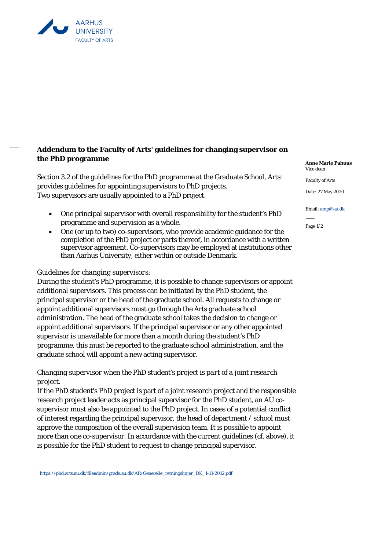

## **Addendum to the Faculty of Arts' guidelines for changing supervisor on the PhD programme**

Section 3.2 of the guidelines for the PhD programme at the Graduate School, Arts<sup>1</sup> provides guidelines for appointing supervisors to PhD projects. Two supervisors are usually appointed to a PhD project.

- One principal supervisor with overall responsibility for the student's PhD programme and supervision as a whole.
- One (or up to two) co-supervisors, who provide academic guidance for the completion of the PhD project or parts thereof, in accordance with a written supervisor agreement. Co-supervisors may be employed at institutions other than Aarhus University, either within or outside Denmark.

## *Guidelines for changing supervisors:*

During the student's PhD programme, it is possible to change supervisors or appoint additional supervisors. This process can be initiated by the PhD student, the principal supervisor or the head of the graduate school. All requests to change or appoint additional supervisors must go through the Arts graduate school administration. The head of the graduate school takes the decision to change or appoint additional supervisors. If the principal supervisor or any other appointed supervisor is unavailable for more than a month during the student's PhD programme, this must be reported to the graduate school administration, and the graduate school will appoint a new acting supervisor.

## *Changing supervisor when the PhD student's project is part of a joint research project.*

If the PhD student's PhD project is part of a joint research project and the responsible research project leader acts as principal supervisor for the PhD student, an AU cosupervisor must also be appointed to the PhD project. In cases of a potential conflict of interest regarding the principal supervisor, the head of department / school must approve the composition of the overall supervision team. It is possible to appoint more than one co-supervisor. In accordance with the current guidelines (cf. above), it is possible for the PhD student to request to change principal supervisor.

**Anne Marie Pahuus**  Vice dean

Faculty of Arts

Date: 27 May 2020

Email: amp@au.dk

Page 1/2

<sup>1</sup> https://phd.arts.au.dk/fileadmin/grads.au.dk/AR/Generelle\_retningslinjer\_DK\_1-11-2012.pdf